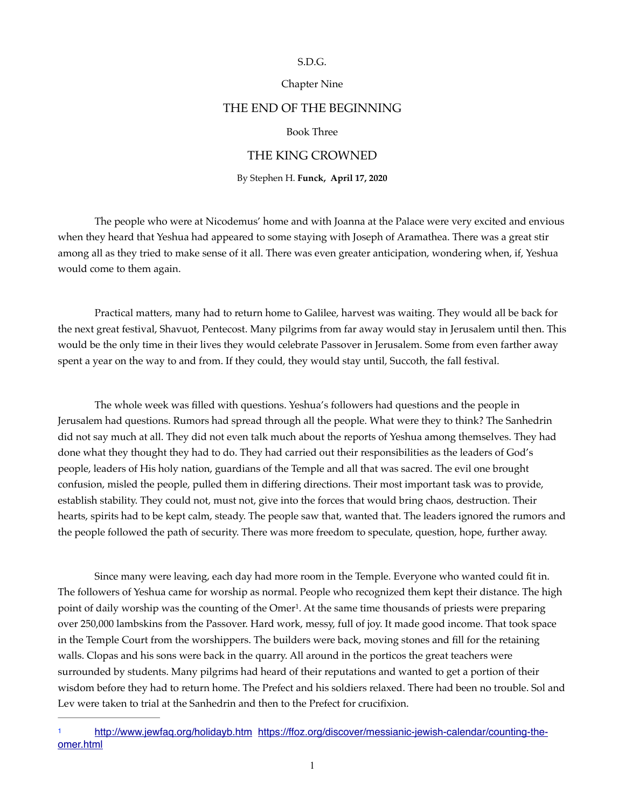### S.D.G.

### Chapter Nine

# THE END OF THE BEGINNING

## Book Three

## THE KING CROWNED

#### By Stephen H. **Funck, April 17, 2020**

The people who were at Nicodemus' home and with Joanna at the Palace were very excited and envious when they heard that Yeshua had appeared to some staying with Joseph of Aramathea. There was a great stir among all as they tried to make sense of it all. There was even greater anticipation, wondering when, if, Yeshua would come to them again.

Practical matters, many had to return home to Galilee, harvest was waiting. They would all be back for the next great festival, Shavuot, Pentecost. Many pilgrims from far away would stay in Jerusalem until then. This would be the only time in their lives they would celebrate Passover in Jerusalem. Some from even farther away spent a year on the way to and from. If they could, they would stay until, Succoth, the fall festival.

The whole week was filled with questions. Yeshua's followers had questions and the people in Jerusalem had questions. Rumors had spread through all the people. What were they to think? The Sanhedrin did not say much at all. They did not even talk much about the reports of Yeshua among themselves. They had done what they thought they had to do. They had carried out their responsibilities as the leaders of God's people, leaders of His holy nation, guardians of the Temple and all that was sacred. The evil one brought confusion, misled the people, pulled them in differing directions. Their most important task was to provide, establish stability. They could not, must not, give into the forces that would bring chaos, destruction. Their hearts, spirits had to be kept calm, steady. The people saw that, wanted that. The leaders ignored the rumors and the people followed the path of security. There was more freedom to speculate, question, hope, further away.

<span id="page-0-1"></span>Since many were leaving, each day had more room in the Temple. Everyone who wanted could fit in. The followers of Yeshua came for worship as normal. People who recognized them kept their distance. The high point of daily worship was the counting of the Omer<sup>1</sup>[.](#page-0-0) At the same time thousands of priests were preparing over 250,000 lambskins from the Passover. Hard work, messy, full of joy. It made good income. That took space in the Temple Court from the worshippers. The builders were back, moving stones and fill for the retaining walls. Clopas and his sons were back in the quarry. All around in the porticos the great teachers were surrounded by students. Many pilgrims had heard of their reputations and wanted to get a portion of their wisdom before they had to return home. The Prefect and his soldiers relaxed. There had been no trouble. Sol and Lev were taken to trial at the Sanhedrin and then to the Prefect for crucifixion.

<span id="page-0-0"></span><http://www.jewfaq.org/holidayb.htm> [https://ffoz.org/discover/messianic-jewish-calendar/counting-the-](https://ffoz.org/discover/messianic-jewish-calendar/counting-the-omer.html) [1](#page-0-1) [omer.html](https://ffoz.org/discover/messianic-jewish-calendar/counting-the-omer.html)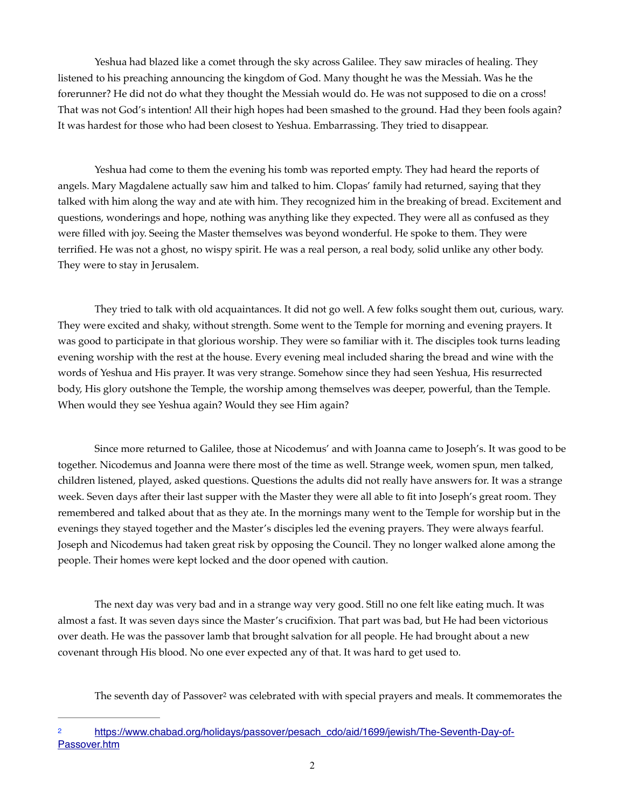Yeshua had blazed like a comet through the sky across Galilee. They saw miracles of healing. They listened to his preaching announcing the kingdom of God. Many thought he was the Messiah. Was he the forerunner? He did not do what they thought the Messiah would do. He was not supposed to die on a cross! That was not God's intention! All their high hopes had been smashed to the ground. Had they been fools again? It was hardest for those who had been closest to Yeshua. Embarrassing. They tried to disappear.

Yeshua had come to them the evening his tomb was reported empty. They had heard the reports of angels. Mary Magdalene actually saw him and talked to him. Clopas' family had returned, saying that they talked with him along the way and ate with him. They recognized him in the breaking of bread. Excitement and questions, wonderings and hope, nothing was anything like they expected. They were all as confused as they were filled with joy. Seeing the Master themselves was beyond wonderful. He spoke to them. They were terrified. He was not a ghost, no wispy spirit. He was a real person, a real body, solid unlike any other body. They were to stay in Jerusalem.

They tried to talk with old acquaintances. It did not go well. A few folks sought them out, curious, wary. They were excited and shaky, without strength. Some went to the Temple for morning and evening prayers. It was good to participate in that glorious worship. They were so familiar with it. The disciples took turns leading evening worship with the rest at the house. Every evening meal included sharing the bread and wine with the words of Yeshua and His prayer. It was very strange. Somehow since they had seen Yeshua, His resurrected body, His glory outshone the Temple, the worship among themselves was deeper, powerful, than the Temple. When would they see Yeshua again? Would they see Him again?

Since more returned to Galilee, those at Nicodemus' and with Joanna came to Joseph's. It was good to be together. Nicodemus and Joanna were there most of the time as well. Strange week, women spun, men talked, children listened, played, asked questions. Questions the adults did not really have answers for. It was a strange week. Seven days after their last supper with the Master they were all able to fit into Joseph's great room. They remembered and talked about that as they ate. In the mornings many went to the Temple for worship but in the evenings they stayed together and the Master's disciples led the evening prayers. They were always fearful. Joseph and Nicodemus had taken great risk by opposing the Council. They no longer walked alone among the people. Their homes were kept locked and the door opened with caution.

The next day was very bad and in a strange way very good. Still no one felt like eating much. It was almost a fast. It was seven days since the Master's crucifixion. That part was bad, but He had been victorious over death. He was the passover lamb that brought salvation for all people. He had brought about a new covenant through His blood. No one ever expected any of that. It was hard to get used to.

<span id="page-1-1"></span>Theseventh day of Passover<sup>[2](#page-1-0)</sup> was celebrated with with special prayers and meals. It commemorates the

<span id="page-1-0"></span><sup>&</sup>lt;sup>2</sup> [https://www.chabad.org/holidays/passover/pesach\\_cdo/aid/1699/jewish/The-Seventh-Day-of-](https://www.chabad.org/holidays/passover/pesach_cdo/aid/1699/jewish/The-Seventh-Day-of-Passover.htm) [Passover.htm](https://www.chabad.org/holidays/passover/pesach_cdo/aid/1699/jewish/The-Seventh-Day-of-Passover.htm)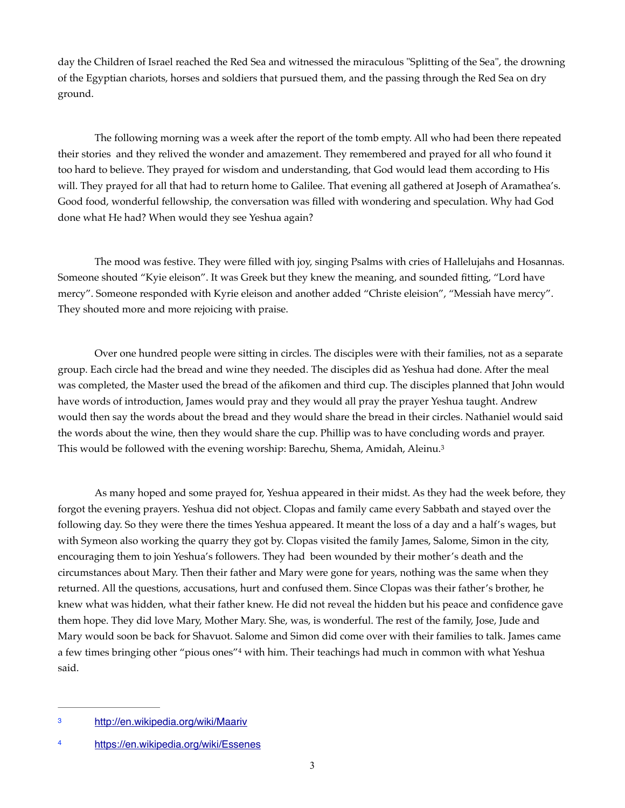day the Children of Israel reached the Red Sea and witnessed the miraculous "Splitting of the Sea", the drowning of the Egyptian chariots, horses and soldiers that pursued them, and the passing through the Red Sea on dry ground.

The following morning was a week after the report of the tomb empty. All who had been there repeated their stories and they relived the wonder and amazement. They remembered and prayed for all who found it too hard to believe. They prayed for wisdom and understanding, that God would lead them according to His will. They prayed for all that had to return home to Galilee. That evening all gathered at Joseph of Aramathea's. Good food, wonderful fellowship, the conversation was filled with wondering and speculation. Why had God done what He had? When would they see Yeshua again?

The mood was festive. They were filled with joy, singing Psalms with cries of Hallelujahs and Hosannas. Someone shouted "Kyie eleison". It was Greek but they knew the meaning, and sounded fitting, "Lord have mercy". Someone responded with Kyrie eleison and another added "Christe eleision", "Messiah have mercy". They shouted more and more rejoicing with praise.

Over one hundred people were sitting in circles. The disciples were with their families, not as a separate group. Each circle had the bread and wine they needed. The disciples did as Yeshua had done. After the meal was completed, the Master used the bread of the afikomen and third cup. The disciples planned that John would have words of introduction, James would pray and they would all pray the prayer Yeshua taught. Andrew would then say the words about the bread and they would share the bread in their circles. Nathaniel would said the words about the wine, then they would share the cup. Phillip was to have concluding words and prayer. This would be followed with the evening worship: Barechu, Shema, Amidah, Aleinu[.3](#page-2-0)

<span id="page-2-2"></span>As many hoped and some prayed for, Yeshua appeared in their midst. As they had the week before, they forgot the evening prayers. Yeshua did not object. Clopas and family came every Sabbath and stayed over the following day. So they were there the times Yeshua appeared. It meant the loss of a day and a half's wages, but with Symeon also working the quarry they got by. Clopas visited the family James, Salome, Simon in the city, encouraging them to join Yeshua's followers. They had been wounded by their mother's death and the circumstances about Mary. Then their father and Mary were gone for years, nothing was the same when they returned. All the questions, accusations, hurt and confused them. Since Clopas was their father's brother, he knew what was hidden, what their father knew. He did not reveal the hidden but his peace and confidence gave them hope. They did love Mary, Mother Mary. She, was, is wonderful. The rest of the family, Jose, Jude and Mary would soon be back for Shavuot. Salome and Simon did come over with their families to talk. James came afew times bringing other "pious ones"<sup>[4](#page-2-1)</sup> with him. Their teachings had much in common with what Yeshua said.

<span id="page-2-3"></span><span id="page-2-0"></span><http://en.wikipedia.org/wiki/Maariv> [3](#page-2-2)

<span id="page-2-1"></span><https://en.wikipedia.org/wiki/Essenes>[4](#page-2-3)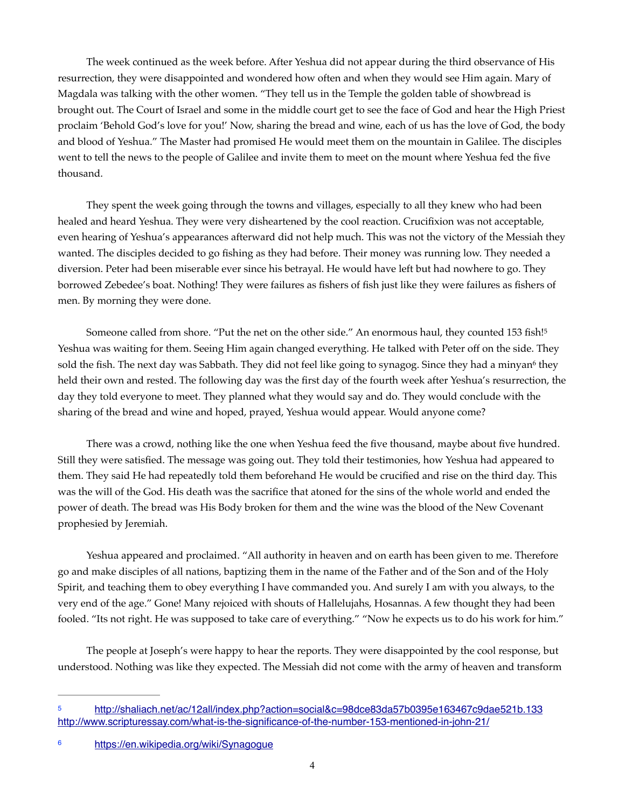The week continued as the week before. After Yeshua did not appear during the third observance of His resurrection, they were disappointed and wondered how often and when they would see Him again. Mary of Magdala was talking with the other women. "They tell us in the Temple the golden table of showbread is brought out. The Court of Israel and some in the middle court get to see the face of God and hear the High Priest proclaim 'Behold God's love for you!' Now, sharing the bread and wine, each of us has the love of God, the body and blood of Yeshua." The Master had promised He would meet them on the mountain in Galilee. The disciples went to tell the news to the people of Galilee and invite them to meet on the mount where Yeshua fed the five thousand.

They spent the week going through the towns and villages, especially to all they knew who had been healed and heard Yeshua. They were very disheartened by the cool reaction. Crucifixion was not acceptable, even hearing of Yeshua's appearances afterward did not help much. This was not the victory of the Messiah they wanted. The disciples decided to go fishing as they had before. Their money was running low. They needed a diversion. Peter had been miserable ever since his betrayal. He would have left but had nowhere to go. They borrowed Zebedee's boat. Nothing! They were failures as fishers of fish just like they were failures as fishers of men. By morning they were done.

<span id="page-3-3"></span><span id="page-3-2"></span>Someone called from shore. "Put the net on the other side." An enormous haul, they counted 153 fish[!5](#page-3-0) Yeshua was waiting for them. Seeing Him again changed everything. He talked with Peter off on the side. They sold the fish. The [n](#page-3-1)ext day was Sabbath. They did not feel like going to synagog. Since they had a minyan<sup>[6](#page-3-1)</sup> they held their own and rested. The following day was the first day of the fourth week after Yeshua's resurrection, the day they told everyone to meet. They planned what they would say and do. They would conclude with the sharing of the bread and wine and hoped, prayed, Yeshua would appear. Would anyone come?

There was a crowd, nothing like the one when Yeshua feed the five thousand, maybe about five hundred. Still they were satisfied. The message was going out. They told their testimonies, how Yeshua had appeared to them. They said He had repeatedly told them beforehand He would be crucified and rise on the third day. This was the will of the God. His death was the sacrifice that atoned for the sins of the whole world and ended the power of death. The bread was His Body broken for them and the wine was the blood of the New Covenant prophesied by Jeremiah.

Yeshua appeared and proclaimed. "All authority in heaven and on earth has been given to me. Therefore go and make disciples of all nations, baptizing them in the name of the Father and of the Son and of the Holy Spirit, and teaching them to obey everything I have commanded you. And surely I am with you always, to the very end of the age." Gone! Many rejoiced with shouts of Hallelujahs, Hosannas. A few thought they had been fooled. "Its not right. He was supposed to take care of everything." "Now he expects us to do his work for him."

The people at Joseph's were happy to hear the reports. They were disappointed by the cool response, but understood. Nothing was like they expected. The Messiah did not come with the army of heaven and transform

<span id="page-3-0"></span><http://shaliach.net/ac/12all/index.php?action=social&c=98dce83da57b0395e163467c9dae521b.133>[5](#page-3-2) <http://www.scripturessay.com/what-is-the-significance-of-the-number-153-mentioned-in-john-21/>

<span id="page-3-1"></span><https://en.wikipedia.org/wiki/Synagogue>[6](#page-3-3)